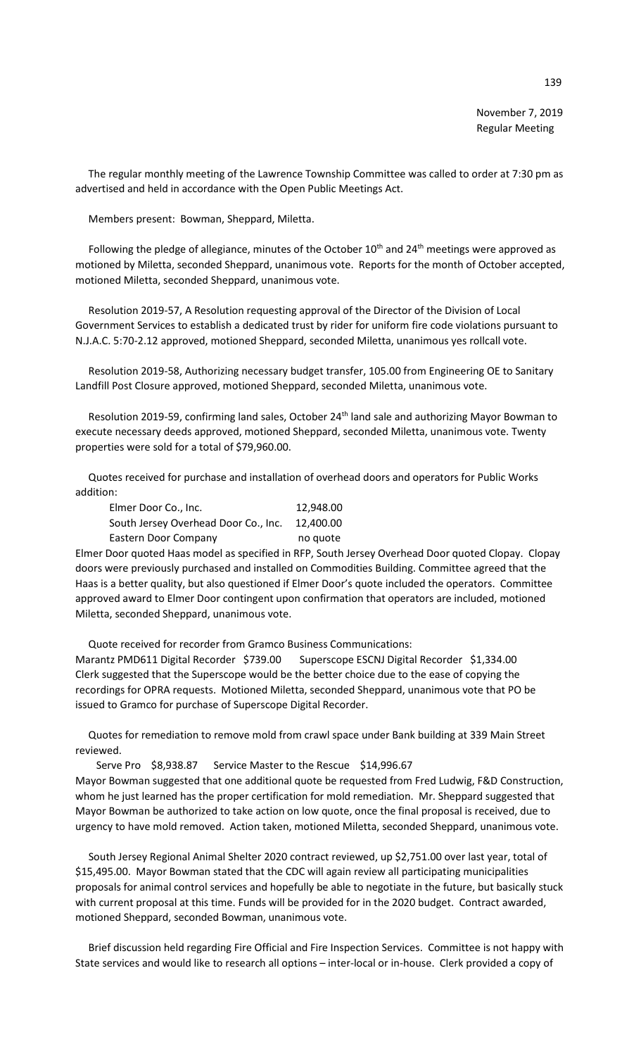The regular monthly meeting of the Lawrence Township Committee was called to order at 7:30 pm as advertised and held in accordance with the Open Public Meetings Act.

Members present: Bowman, Sheppard, Miletta.

Following the pledge of allegiance, minutes of the October  $10^{th}$  and  $24^{th}$  meetings were approved as motioned by Miletta, seconded Sheppard, unanimous vote. Reports for the month of October accepted, motioned Miletta, seconded Sheppard, unanimous vote.

 Resolution 2019-57, A Resolution requesting approval of the Director of the Division of Local Government Services to establish a dedicated trust by rider for uniform fire code violations pursuant to N.J.A.C. 5:70-2.12 approved, motioned Sheppard, seconded Miletta, unanimous yes rollcall vote.

 Resolution 2019-58, Authorizing necessary budget transfer, 105.00 from Engineering OE to Sanitary Landfill Post Closure approved, motioned Sheppard, seconded Miletta, unanimous vote.

Resolution 2019-59, confirming land sales, October 24<sup>th</sup> land sale and authorizing Mayor Bowman to execute necessary deeds approved, motioned Sheppard, seconded Miletta, unanimous vote. Twenty properties were sold for a total of \$79,960.00.

 Quotes received for purchase and installation of overhead doors and operators for Public Works addition:

| Elmer Door Co., Inc.                 | 12.948.00 |
|--------------------------------------|-----------|
| South Jersey Overhead Door Co., Inc. | 12.400.00 |
| Eastern Door Company                 | no quote  |

Elmer Door quoted Haas model as specified in RFP, South Jersey Overhead Door quoted Clopay. Clopay doors were previously purchased and installed on Commodities Building. Committee agreed that the Haas is a better quality, but also questioned if Elmer Door's quote included the operators. Committee approved award to Elmer Door contingent upon confirmation that operators are included, motioned Miletta, seconded Sheppard, unanimous vote.

 Quote received for recorder from Gramco Business Communications: Marantz PMD611 Digital Recorder \$739.00 Superscope ESCNJ Digital Recorder \$1,334.00 Clerk suggested that the Superscope would be the better choice due to the ease of copying the recordings for OPRA requests. Motioned Miletta, seconded Sheppard, unanimous vote that PO be issued to Gramco for purchase of Superscope Digital Recorder.

 Quotes for remediation to remove mold from crawl space under Bank building at 339 Main Street reviewed.

Serve Pro \$8,938.87 Service Master to the Rescue \$14,996.67

Mayor Bowman suggested that one additional quote be requested from Fred Ludwig, F&D Construction, whom he just learned has the proper certification for mold remediation. Mr. Sheppard suggested that Mayor Bowman be authorized to take action on low quote, once the final proposal is received, due to urgency to have mold removed. Action taken, motioned Miletta, seconded Sheppard, unanimous vote.

 South Jersey Regional Animal Shelter 2020 contract reviewed, up \$2,751.00 over last year, total of \$15,495.00. Mayor Bowman stated that the CDC will again review all participating municipalities proposals for animal control services and hopefully be able to negotiate in the future, but basically stuck with current proposal at this time. Funds will be provided for in the 2020 budget. Contract awarded, motioned Sheppard, seconded Bowman, unanimous vote.

 Brief discussion held regarding Fire Official and Fire Inspection Services. Committee is not happy with State services and would like to research all options – inter-local or in-house. Clerk provided a copy of